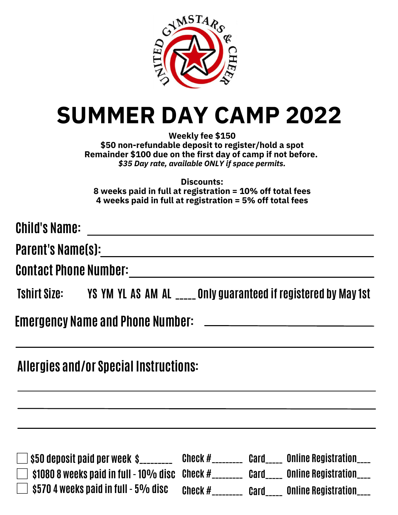

# **SUMMER DAY CAMP 2022**

**Weekly fee \$150 \$50 non-refundable deposit to register/hold a spot Remainder \$100 due on the first day of camp if not before.** *\$35 Day rate, available ONLY if space permits.*

**Discounts: 8 weeks paid in full at registration = 10% off total fees 4 weeks paid in full at registration = 5% off total fees**

| <b>Child's Name:</b> |                                                                               |
|----------------------|-------------------------------------------------------------------------------|
|                      | Parent's Name(s):________________________                                     |
|                      |                                                                               |
|                      | Tshirt Size: YS YM YL AS AM AL _____ Only guaranteed if registered by May 1st |
|                      |                                                                               |
|                      | <b>Allergies and/or Special Instructions:</b>                                 |
|                      |                                                                               |

| \$50 deposit paid per week  \$_______                           | Check # | Card | Online Registration____        |
|-----------------------------------------------------------------|---------|------|--------------------------------|
| $\frac{10808}{2}$ weeks paid in full - 10% disc Check #________ |         | Card | <b>Online Registration____</b> |
| \$570 4 weeks paid in full - 5% disc                            | Check # | Card | Online Registration____        |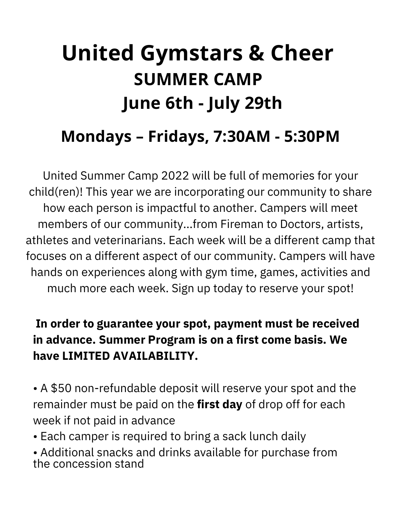# **United Gymstars & Cheer SUMMER CAMP June 6th - July 29th**

## **Mondays – Fridays, 7:30AM - 5:30PM**

United Summer Camp 2022 will be full of memories for your child(ren)! This year we are incorporating our community to share how each person is impactful to another. Campers will meet members of our community...from Fireman to Doctors, artists, athletes and veterinarians. Each week will be a different camp that focuses on a different aspect of our community. Campers will have hands on experiences along with gym time, games, activities and much more each week. Sign up today to reserve your spot!

## **In order to guarantee your spot, payment must be received in advance. Summer Program is on a first come basis. We have LIMITED AVAILABILITY.**

• A \$50 non-refundable deposit will reserve your spot and the remainder must be paid on the **first day** of drop off for each week if not paid in advance

• Each camper is required to bring a sack lunch daily

• Additional snacks and drinks available for purchase from the concession stand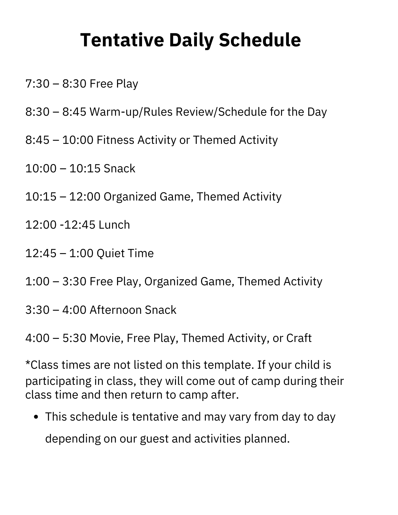## **Tentative Daily Schedule**

- 7:30 8:30 Free Play
- 8:30 8:45 Warm-up/Rules Review/Schedule for the Day
- 8:45 10:00 Fitness Activity or Themed Activity
- 10:00 10:15 Snack
- 10:15 12:00 Organized Game, Themed Activity
- 12:00 -12:45 Lunch
- 12:45 1:00 Quiet Time
- 1:00 3:30 Free Play, Organized Game, Themed Activity
- 3:30 4:00 Afternoon Snack
- 4:00 5:30 Movie, Free Play, Themed Activity, or Craft

\*Class times are not listed on this template. If your child is participating in class, they will come out of camp during their class time and then return to camp after.

This schedule is tentative and may vary from day to day depending on our guest and activities planned.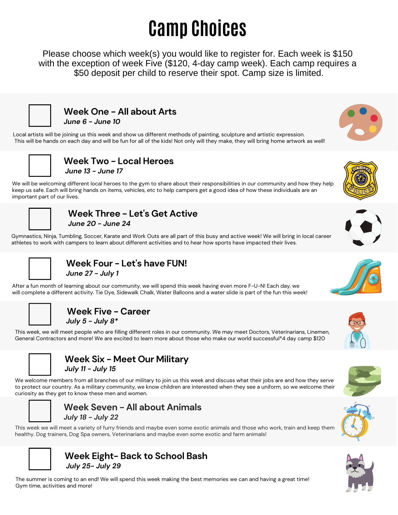## **Camp Choices**

Please choose which week(s) you would like to register for. Each week is \$150 with the exception of week Five (\$120, 4-day camp week). Each camp requires a \$50 deposit per child to reserve their spot. Camp size is limited.



**Week One - All about Arts** *June 6 - June 10*

Local artists will be joining us this week and show us different methods of painting, sculpture and artistic expression. This will be hands on each day and will be fun for all of the kids! Not only will they make, they will bring home artwork as well!



**Week Two - Local Heroes** *June 13 - June 17*

We will be welcoming different local heroes to the gym to share about their responsibilities in our community and how they help keep us safe. Each will bring hands on items, vehicles, etc to help campers get a good idea of how these individuals are an important part of our lives.



### **Week Three - Let's Get Active** *June 20 - June 24*

Gymnastics, Ninja, Tumbling, Soccer, Karate and Work Outs are all part of this busy and active week! We will bring in local career athletes to work with campers to learn about different activities and to hear how sports have impacted their lives.



## **Week Four - Let's have FUN!** *June 27 - July 1*

After a fun month of learning about our community, we will spend this week having even more F-U-N! Each day, we will complete a different activity. Tie Dye, Sidewalk Chalk, Water Balloons and a water slide is part of the fun this week!



## **Week Five - Career**

*July 5 - July 8\**

This week, we will meet people who are filling different roles in our community. We may meet Doctors, Veterinarians, Linemen, General Contractors and more! We are excited to learn more about those who make our world successful\*4 day camp \$120



## **Week Six - Meet Our Military** *July 11 - July 15*

We welcome members from all branches of our military to join us this week and discuss what their jobs are and how they serve to protect our country. As a military community, we know children are interested when they see a uniform, so we welcome their curiosity as they get to know these men and women.



## **Week Seven - All about Animals** *July 18 - July 22*

This week we will meet a variety of furry friends and maybe even some exotic animals and those who work, train and keep them healthy. Dog trainers, Dog Spa owners, Veterinarians and maybe even some exotic and farm animals!



## **Week Eight- Back to School Bash** *July 25- July 29*

The summer is coming to an end! We will spend this week making the best memories we can and having a great time! Gym time, activities and more!





![](_page_3_Picture_29.jpeg)

![](_page_3_Picture_30.jpeg)

![](_page_3_Picture_31.jpeg)

![](_page_3_Picture_32.jpeg)

![](_page_3_Picture_33.jpeg)

![](_page_3_Picture_34.jpeg)